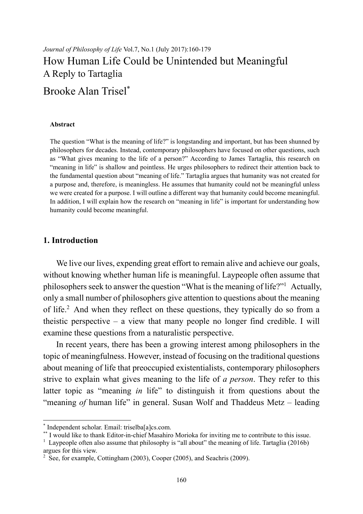# *Journal of Philosophy of Life* Vol.7, No.1 (July 2017):160-179 How Human Life Could be Unintended but Meaningful A Reply to Tartaglia

## Brooke Alan Trisel\*

#### **Abstract**

The question "What is the meaning of life?" is longstanding and important, but has been shunned by philosophers for decades. Instead, contemporary philosophers have focused on other questions, such as "What gives meaning to the life of a person?" According to James Tartaglia, this research on "meaning in life" is shallow and pointless. He urges philosophers to redirect their attention back to the fundamental question about "meaning of life." Tartaglia argues that humanity was not created for a purpose and, therefore, is meaningless. He assumes that humanity could not be meaningful unless we were created for a purpose. I will outline a different way that humanity could become meaningful. In addition, I will explain how the research on "meaning in life" is important for understanding how humanity could become meaningful.

#### **1. Introduction**

We live our lives, expending great effort to remain alive and achieve our goals, without knowing whether human life is meaningful. Laypeople often assume that philosophers seek to answer the question "What is the meaning of life?"<sup>1</sup> Actually, only a small number of philosophers give attention to questions about the meaning of life.<sup>2</sup> And when they reflect on these questions, they typically do so from a theistic perspective – a view that many people no longer find credible. I will examine these questions from a naturalistic perspective.

In recent years, there has been a growing interest among philosophers in the topic of meaningfulness. However, instead of focusing on the traditional questions about meaning of life that preoccupied existentialists, contemporary philosophers strive to explain what gives meaning to the life of *a person*. They refer to this latter topic as "meaning *in* life" to distinguish it from questions about the "meaning *of* human life" in general. Susan Wolf and Thaddeus Metz – leading

 \* Independent scholar. Email: triselba[a]cs.com.

<sup>&</sup>lt;sup>\*\*</sup> I would like to thank Editor-in-chief Masahiro Morioka for inviting me to contribute to this issue.

<sup>&</sup>lt;sup>1</sup> Laypeople often also assume that philosophy is "all about" the meaning of life. Tartaglia (2016b) argues for this view.

 $2\text{}$  See, for example, Cottingham (2003), Cooper (2005), and Seachris (2009).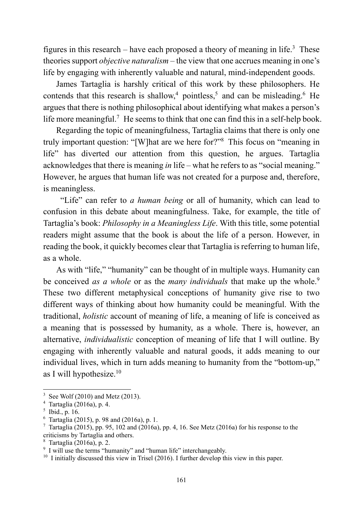figures in this research – have each proposed a theory of meaning in life.<sup>3</sup> These theories support *objective naturalism* – the view that one accrues meaning in one's life by engaging with inherently valuable and natural, mind-independent goods.

James Tartaglia is harshly critical of this work by these philosophers. He contends that this research is shallow,<sup>4</sup> pointless,<sup>5</sup> and can be misleading.<sup>6</sup> He argues that there is nothing philosophical about identifying what makes a person's life more meaningful.<sup>7</sup> He seems to think that one can find this in a self-help book.

Regarding the topic of meaningfulness, Tartaglia claims that there is only one truly important question: "[W]hat are we here for?"8 This focus on "meaning in life" has diverted our attention from this question, he argues. Tartaglia acknowledges that there is meaning *in* life – what he refers to as "social meaning." However, he argues that human life was not created for a purpose and, therefore, is meaningless.

 "Life" can refer to *a human being* or all of humanity, which can lead to confusion in this debate about meaningfulness. Take, for example, the title of Tartaglia's book: *Philosophy in a Meaningless Life*. With this title, some potential readers might assume that the book is about the life of a person. However, in reading the book, it quickly becomes clear that Tartaglia is referring to human life, as a whole.

As with "life," "humanity" can be thought of in multiple ways. Humanity can be conceived *as a whole* or as the *many individuals* that make up the whole.<sup>9</sup> These two different metaphysical conceptions of humanity give rise to two different ways of thinking about how humanity could be meaningful. With the traditional, *holistic* account of meaning of life, a meaning of life is conceived as a meaning that is possessed by humanity, as a whole. There is, however, an alternative, *individualistic* conception of meaning of life that I will outline. By engaging with inherently valuable and natural goods, it adds meaning to our individual lives, which in turn adds meaning to humanity from the "bottom-up," as I will hypothesize. $10$ 

<sup>&</sup>lt;sup>3</sup> See Wolf (2010) and Metz (2013).

<sup>4</sup> Tartaglia (2016a), p. 4.

 $<sup>5</sup>$  Ibid., p. 16.</sup>

<sup>6</sup> Tartaglia (2015), p. 98 and (2016a), p. 1.

<sup>&</sup>lt;sup>7</sup> Tartaglia (2015), pp. 95, 102 and (2016a), pp. 4, 16. See Metz (2016a) for his response to the criticisms by Tartaglia and others.

<sup>8</sup> Tartaglia (2016a), p. 2.

<sup>&</sup>lt;sup>9</sup> I will use the terms "humanity" and "human life" interchangeably.

 $10$  I initially discussed this view in Trisel (2016). I further develop this view in this paper.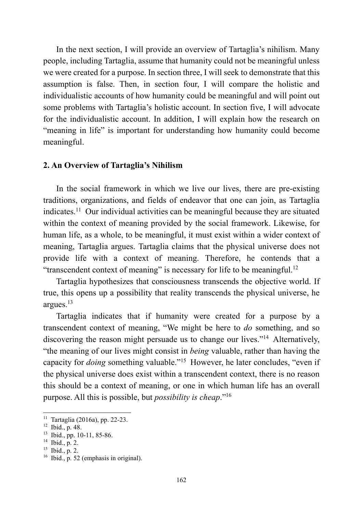In the next section, I will provide an overview of Tartaglia's nihilism. Many people, including Tartaglia, assume that humanity could not be meaningful unless we were created for a purpose. In section three, I will seek to demonstrate that this assumption is false. Then, in section four, I will compare the holistic and individualistic accounts of how humanity could be meaningful and will point out some problems with Tartaglia's holistic account. In section five, I will advocate for the individualistic account. In addition, I will explain how the research on "meaning in life" is important for understanding how humanity could become meaningful.

#### **2. An Overview of Tartaglia's Nihilism**

In the social framework in which we live our lives, there are pre-existing traditions, organizations, and fields of endeavor that one can join, as Tartaglia indicates.11 Our individual activities can be meaningful because they are situated within the context of meaning provided by the social framework. Likewise, for human life, as a whole, to be meaningful, it must exist within a wider context of meaning, Tartaglia argues. Tartaglia claims that the physical universe does not provide life with a context of meaning. Therefore, he contends that a "transcendent context of meaning" is necessary for life to be meaningful.<sup>12</sup>

Tartaglia hypothesizes that consciousness transcends the objective world. If true, this opens up a possibility that reality transcends the physical universe, he argues.13

Tartaglia indicates that if humanity were created for a purpose by a transcendent context of meaning, "We might be here to *do* something, and so discovering the reason might persuade us to change our lives."14 Alternatively, "the meaning of our lives might consist in *being* valuable, rather than having the capacity for *doing* something valuable."15 However, he later concludes, "even if the physical universe does exist within a transcendent context, there is no reason this should be a context of meaning, or one in which human life has an overall purpose. All this is possible, but *possibility is cheap*."16

<sup>11</sup> Tartaglia (2016a), pp. 22-23.

 $12$  Ibid., p. 48.

 $13$  Ibid., pp. 10-11, 85-86.

 $14$  Ibid., p. 2.

 $15$  Ibid., p. 2.

 $16$  Ibid., p. 52 (emphasis in original).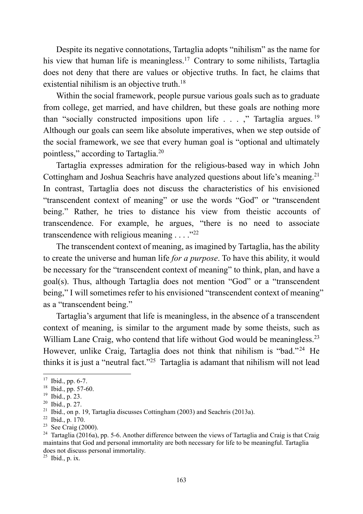Despite its negative connotations, Tartaglia adopts "nihilism" as the name for his view that human life is meaningless.<sup>17</sup> Contrary to some nihilists, Tartaglia does not deny that there are values or objective truths. In fact, he claims that existential nihilism is an objective truth.<sup>18</sup>

Within the social framework, people pursue various goals such as to graduate from college, get married, and have children, but these goals are nothing more than "socially constructed impositions upon life . . . ," Tartaglia argues. <sup>19</sup> Although our goals can seem like absolute imperatives, when we step outside of the social framework, we see that every human goal is "optional and ultimately pointless," according to Tartaglia.20

Tartaglia expresses admiration for the religious-based way in which John Cottingham and Joshua Seachris have analyzed questions about life's meaning.<sup>21</sup> In contrast, Tartaglia does not discuss the characteristics of his envisioned "transcendent context of meaning" or use the words "God" or "transcendent being." Rather, he tries to distance his view from theistic accounts of transcendence. For example, he argues, "there is no need to associate transcendence with religious meaning  $\ldots$  ."<sup>22</sup>

The transcendent context of meaning, as imagined by Tartaglia, has the ability to create the universe and human life *for a purpose*. To have this ability, it would be necessary for the "transcendent context of meaning" to think, plan, and have a goal(s). Thus, although Tartaglia does not mention "God" or a "transcendent being," I will sometimes refer to his envisioned "transcendent context of meaning" as a "transcendent being."

Tartaglia's argument that life is meaningless, in the absence of a transcendent context of meaning, is similar to the argument made by some theists, such as William Lane Craig, who contend that life without God would be meaningless.<sup>23</sup> However, unlike Craig, Tartaglia does not think that nihilism is "bad."<sup>24</sup> He thinks it is just a "neutral fact."25 Tartaglia is adamant that nihilism will not lead

1

 $25$  Ibid., p. ix.

 $17$  Ibid., pp. 6-7.

<sup>18</sup> Ibid., pp. 57-60.

<sup>19</sup> Ibid., p. 23.

<sup>20</sup> Ibid., p. 27.

<sup>&</sup>lt;sup>21</sup> Ibid., on p. 19, Tartaglia discusses Cottingham (2003) and Seachris (2013a).

<sup>22</sup> Ibid., p. 170.

<sup>&</sup>lt;sup>23</sup> See Craig (2000).

<sup>&</sup>lt;sup>24</sup> Tartaglia (2016a), pp. 5-6. Another difference between the views of Tartaglia and Craig is that Craig maintains that God and personal immortality are both necessary for life to be meaningful. Tartaglia does not discuss personal immortality.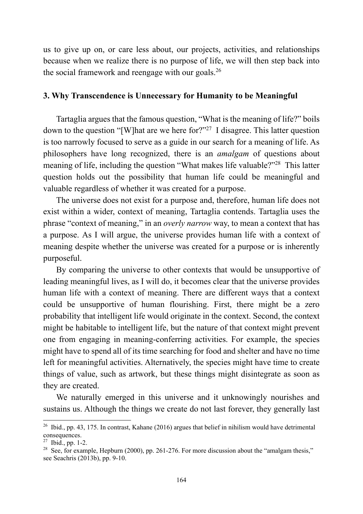us to give up on, or care less about, our projects, activities, and relationships because when we realize there is no purpose of life, we will then step back into the social framework and reengage with our goals.26

#### **3. Why Transcendence is Unnecessary for Humanity to be Meaningful**

Tartaglia argues that the famous question, "What is the meaning of life?" boils down to the question "[W]hat are we here for?"27 I disagree. This latter question is too narrowly focused to serve as a guide in our search for a meaning of life. As philosophers have long recognized, there is an *amalgam* of questions about meaning of life, including the question "What makes life valuable?"<sup>28</sup> This latter question holds out the possibility that human life could be meaningful and valuable regardless of whether it was created for a purpose.

The universe does not exist for a purpose and, therefore, human life does not exist within a wider, context of meaning, Tartaglia contends. Tartaglia uses the phrase "context of meaning," in an *overly narrow* way, to mean a context that has a purpose. As I will argue, the universe provides human life with a context of meaning despite whether the universe was created for a purpose or is inherently purposeful.

By comparing the universe to other contexts that would be unsupportive of leading meaningful lives, as I will do, it becomes clear that the universe provides human life with a context of meaning. There are different ways that a context could be unsupportive of human flourishing. First, there might be a zero probability that intelligent life would originate in the context. Second, the context might be habitable to intelligent life, but the nature of that context might prevent one from engaging in meaning-conferring activities. For example, the species might have to spend all of its time searching for food and shelter and have no time left for meaningful activities. Alternatively, the species might have time to create things of value, such as artwork, but these things might disintegrate as soon as they are created.

We naturally emerged in this universe and it unknowingly nourishes and sustains us. Although the things we create do not last forever, they generally last

<sup>&</sup>lt;sup>26</sup> Ibid., pp. 43, 175. In contrast, Kahane (2016) argues that belief in nihilism would have detrimental consequences.

 $27$  Ibid., pp. 1-2.

<sup>&</sup>lt;sup>28</sup> See, for example, Hepburn (2000), pp. 261-276. For more discussion about the "amalgam thesis," see Seachris (2013b), pp. 9-10.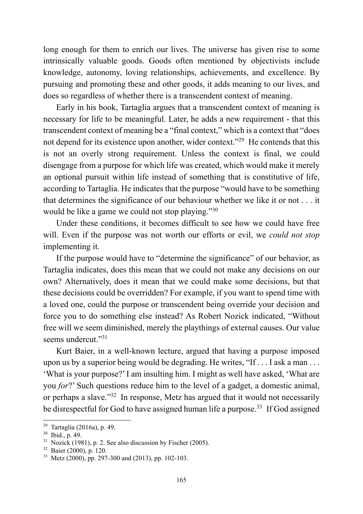long enough for them to enrich our lives. The universe has given rise to some intrinsically valuable goods. Goods often mentioned by objectivists include knowledge, autonomy, loving relationships, achievements, and excellence. By pursuing and promoting these and other goods, it adds meaning to our lives, and does so regardless of whether there is a transcendent context of meaning.

Early in his book, Tartaglia argues that a transcendent context of meaning is necessary for life to be meaningful. Later, he adds a new requirement - that this transcendent context of meaning be a "final context," which is a context that "does not depend for its existence upon another, wider context."29 He contends that this is not an overly strong requirement. Unless the context is final, we could disengage from a purpose for which life was created, which would make it merely an optional pursuit within life instead of something that is constitutive of life, according to Tartaglia. He indicates that the purpose "would have to be something that determines the significance of our behaviour whether we like it or not . . . it would be like a game we could not stop playing."<sup>30</sup>

Under these conditions, it becomes difficult to see how we could have free will. Even if the purpose was not worth our efforts or evil, we *could not stop* implementing it.

If the purpose would have to "determine the significance" of our behavior, as Tartaglia indicates, does this mean that we could not make any decisions on our own? Alternatively, does it mean that we could make some decisions, but that these decisions could be overridden? For example, if you want to spend time with a loved one, could the purpose or transcendent being override your decision and force you to do something else instead? As Robert Nozick indicated, "Without free will we seem diminished, merely the playthings of external causes. Our value seems undercut<sup>"31</sup>

Kurt Baier, in a well-known lecture, argued that having a purpose imposed upon us by a superior being would be degrading. He writes, "If . . . I ask a man . . . 'What is your purpose?' I am insulting him. I might as well have asked, 'What are you *for*?' Such questions reduce him to the level of a gadget, a domestic animal, or perhaps a slave."32 In response, Metz has argued that it would not necessarily be disrespectful for God to have assigned human life a purpose.<sup>33</sup> If God assigned

<sup>29</sup> Tartaglia (2016a), p. 49.

<sup>30</sup> Ibid., p. 49.

 $31$  Nozick (1981), p. 2. See also discussion by Fischer (2005).

<sup>32</sup> Baier (2000), p. 120.

 $33$  Metz (2000), pp. 297-300 and (2013), pp. 102-103.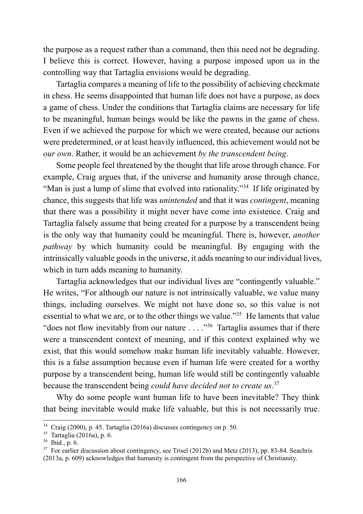the purpose as a request rather than a command, then this need not be degrading. I believe this is correct. However, having a purpose imposed upon us in the controlling way that Tartaglia envisions would be degrading.

Tartaglia compares a meaning of life to the possibility of achieving checkmate in chess. He seems disappointed that human life does not have a purpose, as does a game of chess. Under the conditions that Tartaglia claims are necessary for life to be meaningful, human beings would be like the pawns in the game of chess. Even if we achieved the purpose for which we were created, because our actions were predetermined, or at least heavily influenced, this achievement would not be *our own*. Rather, it would be an achievement *by the transcendent being*.

Some people feel threatened by the thought that life arose through chance. For example, Craig argues that, if the universe and humanity arose through chance, "Man is just a lump of slime that evolved into rationality."34 If life originated by chance, this suggests that life was *unintended* and that it was *contingent*, meaning that there was a possibility it might never have come into existence. Craig and Tartaglia falsely assume that being created for a purpose by a transcendent being is the only way that humanity could be meaningful. There is, however, *another pathway* by which humanity could be meaningful. By engaging with the intrinsically valuable goods in the universe, it adds meaning to our individual lives, which in turn adds meaning to humanity.

Tartaglia acknowledges that our individual lives are "contingently valuable." He writes, "For although our nature is not intrinsically valuable, we value many things, including ourselves. We might not have done so, so this value is not essential to what we are, or to the other things we value."<sup>35</sup> He laments that value "does not flow inevitably from our nature  $\dots$  ."<sup>36</sup> Tartaglia assumes that if there were a transcendent context of meaning, and if this context explained why we exist, that this would somehow make human life inevitably valuable. However, this is a false assumption because even if human life were created for a worthy purpose by a transcendent being, human life would still be contingently valuable because the transcendent being *could have decided not to create us*. 37

Why do some people want human life to have been inevitable? They think that being inevitable would make life valuable, but this is not necessarily true.

<sup>34</sup> Craig (2000), p. 45. Tartaglia (2016a) discusses contingency on p. 50.

<sup>35</sup> Tartaglia (2016a), p. 6.

 $36$  Ibid., p. 6.

 $37$  For earlier discussion about contingency, see Trisel (2012b) and Metz (2013), pp. 83-84. Seachris (2013a, p. 609) acknowledges that humanity is contingent from the perspective of Christianity.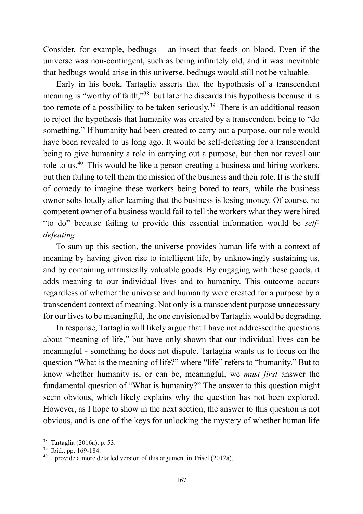Consider, for example, bedbugs – an insect that feeds on blood. Even if the universe was non-contingent, such as being infinitely old, and it was inevitable that bedbugs would arise in this universe, bedbugs would still not be valuable.

Early in his book, Tartaglia asserts that the hypothesis of a transcendent meaning is "worthy of faith,"38 but later he discards this hypothesis because it is too remote of a possibility to be taken seriously.39 There is an additional reason to reject the hypothesis that humanity was created by a transcendent being to "do something." If humanity had been created to carry out a purpose, our role would have been revealed to us long ago. It would be self-defeating for a transcendent being to give humanity a role in carrying out a purpose, but then not reveal our role to us.40 This would be like a person creating a business and hiring workers, but then failing to tell them the mission of the business and their role. It is the stuff of comedy to imagine these workers being bored to tears, while the business owner sobs loudly after learning that the business is losing money. Of course, no competent owner of a business would fail to tell the workers what they were hired "to do" because failing to provide this essential information would be *selfdefeating*.

To sum up this section, the universe provides human life with a context of meaning by having given rise to intelligent life, by unknowingly sustaining us, and by containing intrinsically valuable goods. By engaging with these goods, it adds meaning to our individual lives and to humanity. This outcome occurs regardless of whether the universe and humanity were created for a purpose by a transcendent context of meaning. Not only is a transcendent purpose unnecessary for our lives to be meaningful, the one envisioned by Tartaglia would be degrading.

In response, Tartaglia will likely argue that I have not addressed the questions about "meaning of life," but have only shown that our individual lives can be meaningful - something he does not dispute. Tartaglia wants us to focus on the question "What is the meaning of life?" where "life" refers to "humanity." But to know whether humanity is, or can be, meaningful, we *must first* answer the fundamental question of "What is humanity?" The answer to this question might seem obvious, which likely explains why the question has not been explored. However, as I hope to show in the next section, the answer to this question is not obvious, and is one of the keys for unlocking the mystery of whether human life

<sup>38</sup> Tartaglia (2016a), p. 53.

<sup>39</sup> Ibid., pp. 169-184.

 $40\,$  I provide a more detailed version of this argument in Trisel (2012a).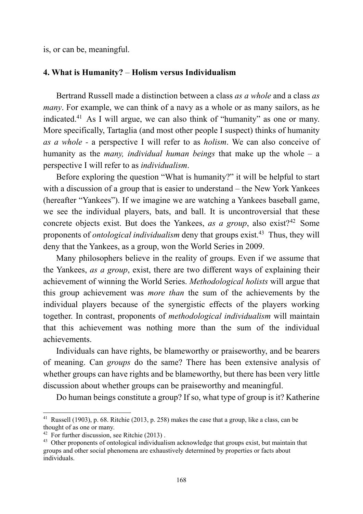is, or can be, meaningful.

#### **4. What is Humanity?** – **Holism versus Individualism**

Bertrand Russell made a distinction between a class *as a whole* and a class *as many*. For example, we can think of a navy as a whole or as many sailors, as he indicated.41 As I will argue, we can also think of "humanity" as one or many. More specifically, Tartaglia (and most other people I suspect) thinks of humanity *as a whole -* a perspective I will refer to as *holism*. We can also conceive of humanity as the *many, individual human beings* that make up the whole – a perspective I will refer to as *individualism*.

Before exploring the question "What is humanity?" it will be helpful to start with a discussion of a group that is easier to understand – the New York Yankees (hereafter "Yankees"). If we imagine we are watching a Yankees baseball game, we see the individual players, bats, and ball. It is uncontroversial that these concrete objects exist. But does the Yankees, *as a group*, also exist?42 Some proponents of *ontological individualism* deny that groups exist.<sup>43</sup> Thus, they will deny that the Yankees, as a group, won the World Series in 2009.

Many philosophers believe in the reality of groups. Even if we assume that the Yankees, *as a group*, exist, there are two different ways of explaining their achievement of winning the World Series. *Methodological holists* will argue that this group achievement was *more than* the sum of the achievements by the individual players because of the synergistic effects of the players working together. In contrast, proponents of *methodological individualism* will maintain that this achievement was nothing more than the sum of the individual achievements.

Individuals can have rights, be blameworthy or praiseworthy, and be bearers of meaning. Can *groups* do the same? There has been extensive analysis of whether groups can have rights and be blameworthy, but there has been very little discussion about whether groups can be praiseworthy and meaningful.

Do human beings constitute a group? If so, what type of group is it? Katherine

<sup>&</sup>lt;sup>41</sup> Russell (1903), p. 68. Ritchie (2013, p. 258) makes the case that a group, like a class, can be thought of as one or many.

<sup>&</sup>lt;sup>42</sup> For further discussion, see Ritchie  $(2013)$ .

<sup>&</sup>lt;sup>43</sup> Other proponents of ontological individualism acknowledge that groups exist, but maintain that groups and other social phenomena are exhaustively determined by properties or facts about individuals.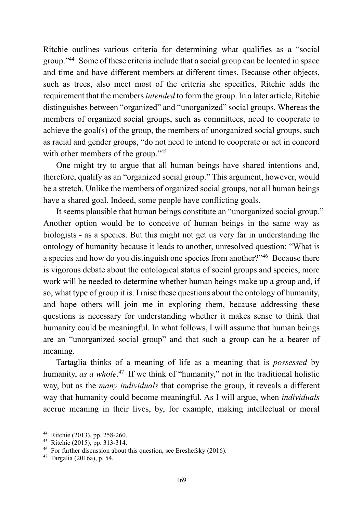Ritchie outlines various criteria for determining what qualifies as a "social group."44 Some of these criteria include that a social group can be located in space and time and have different members at different times. Because other objects, such as trees, also meet most of the criteria she specifies, Ritchie adds the requirement that the members *intended* to form the group. In a later article, Ritchie distinguishes between "organized" and "unorganized" social groups. Whereas the members of organized social groups, such as committees, need to cooperate to achieve the goal(s) of the group, the members of unorganized social groups, such as racial and gender groups, "do not need to intend to cooperate or act in concord with other members of the group."<sup>45</sup>

One might try to argue that all human beings have shared intentions and, therefore, qualify as an "organized social group." This argument, however, would be a stretch. Unlike the members of organized social groups, not all human beings have a shared goal. Indeed, some people have conflicting goals.

It seems plausible that human beings constitute an "unorganized social group." Another option would be to conceive of human beings in the same way as biologists - as a species. But this might not get us very far in understanding the ontology of humanity because it leads to another, unresolved question: "What is a species and how do you distinguish one species from another?"46 Because there is vigorous debate about the ontological status of social groups and species, more work will be needed to determine whether human beings make up a group and, if so, what type of group it is. I raise these questions about the ontology of humanity, and hope others will join me in exploring them, because addressing these questions is necessary for understanding whether it makes sense to think that humanity could be meaningful. In what follows, I will assume that human beings are an "unorganized social group" and that such a group can be a bearer of meaning.

Tartaglia thinks of a meaning of life as a meaning that is *possessed* by humanity, *as a whole*.<sup>47</sup> If we think of "humanity," not in the traditional holistic way, but as the *many individuals* that comprise the group, it reveals a different way that humanity could become meaningful. As I will argue, when *individuals* accrue meaning in their lives, by, for example, making intellectual or moral

<sup>1</sup> 44 Ritchie (2013), pp. 258-260.

<sup>45</sup> Ritchie (2015), pp. 313-314.

 $46$  For further discussion about this question, see Ereshefsky (2016).

<sup>47</sup> Targalia (2016a), p. 54.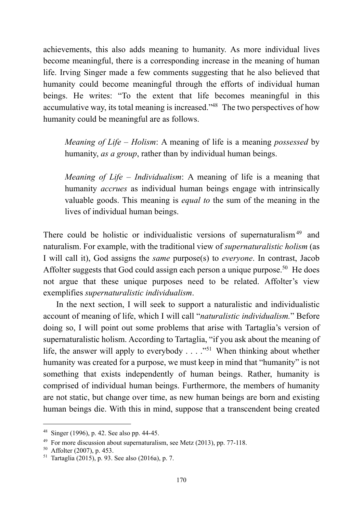achievements, this also adds meaning to humanity. As more individual lives become meaningful, there is a corresponding increase in the meaning of human life. Irving Singer made a few comments suggesting that he also believed that humanity could become meaningful through the efforts of individual human beings. He writes: "To the extent that life becomes meaningful in this accumulative way, its total meaning is increased."48 The two perspectives of how humanity could be meaningful are as follows.

*Meaning of Life* – *Holism*: A meaning of life is a meaning *possessed* by humanity, *as a group*, rather than by individual human beings.

*Meaning of Life* – *Individualism*: A meaning of life is a meaning that humanity *accrues* as individual human beings engage with intrinsically valuable goods. This meaning is *equal to* the sum of the meaning in the lives of individual human beings.

There could be holistic or individualistic versions of supernaturalism<sup>49</sup> and naturalism. For example, with the traditional view of *supernaturalistic holism* (as I will call it), God assigns the *same* purpose(s) to *everyone*. In contrast, Jacob Affolter suggests that God could assign each person a unique purpose.<sup>50</sup> He does not argue that these unique purposes need to be related. Affolter's view exemplifies *supernaturalistic individualism*.

In the next section, I will seek to support a naturalistic and individualistic account of meaning of life, which I will call "*naturalistic individualism.*" Before doing so, I will point out some problems that arise with Tartaglia's version of supernaturalistic holism. According to Tartaglia, "if you ask about the meaning of life, the answer will apply to everybody  $\dots$  ..."<sup>51</sup> When thinking about whether humanity was created for a purpose, we must keep in mind that "humanity" is not something that exists independently of human beings. Rather, humanity is comprised of individual human beings. Furthermore, the members of humanity are not static, but change over time, as new human beings are born and existing human beings die. With this in mind, suppose that a transcendent being created

<sup>48</sup> Singer (1996), p. 42. See also pp. 44-45.

 $49$  For more discussion about supernaturalism, see Metz (2013), pp. 77-118.

 $50$  Affolter (2007), p. 453.

<sup>51</sup> Tartaglia (2015), p. 93. See also (2016a), p. 7.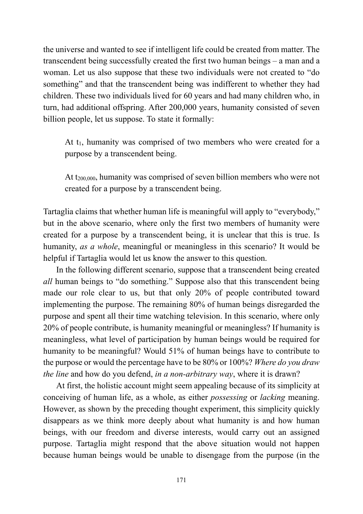the universe and wanted to see if intelligent life could be created from matter. The transcendent being successfully created the first two human beings – a man and a woman. Let us also suppose that these two individuals were not created to "do something" and that the transcendent being was indifferent to whether they had children. These two individuals lived for 60 years and had many children who, in turn, had additional offspring. After 200,000 years, humanity consisted of seven billion people, let us suppose. To state it formally:

At t<sub>1</sub>, humanity was comprised of two members who were created for a purpose by a transcendent being.

At t<sub>200,000</sub>, humanity was comprised of seven billion members who were not created for a purpose by a transcendent being.

Tartaglia claims that whether human life is meaningful will apply to "everybody," but in the above scenario, where only the first two members of humanity were created for a purpose by a transcendent being, it is unclear that this is true. Is humanity, *as a whole*, meaningful or meaningless in this scenario? It would be helpful if Tartaglia would let us know the answer to this question.

In the following different scenario, suppose that a transcendent being created *all* human beings to "do something." Suppose also that this transcendent being made our role clear to us, but that only 20% of people contributed toward implementing the purpose. The remaining 80% of human beings disregarded the purpose and spent all their time watching television. In this scenario, where only 20% of people contribute, is humanity meaningful or meaningless? If humanity is meaningless, what level of participation by human beings would be required for humanity to be meaningful? Would 51% of human beings have to contribute to the purpose or would the percentage have to be 80% or 100%? *Where do you draw the line* and how do you defend, *in a non-arbitrary way*, where it is drawn?

At first, the holistic account might seem appealing because of its simplicity at conceiving of human life, as a whole, as either *possessing* or *lacking* meaning. However, as shown by the preceding thought experiment, this simplicity quickly disappears as we think more deeply about what humanity is and how human beings, with our freedom and diverse interests, would carry out an assigned purpose. Tartaglia might respond that the above situation would not happen because human beings would be unable to disengage from the purpose (in the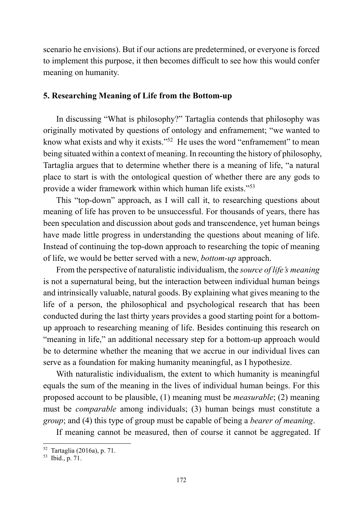scenario he envisions). But if our actions are predetermined, or everyone is forced to implement this purpose, it then becomes difficult to see how this would confer meaning on humanity.

#### **5. Researching Meaning of Life from the Bottom-up**

In discussing "What is philosophy?" Tartaglia contends that philosophy was originally motivated by questions of ontology and enframement; "we wanted to know what exists and why it exists."<sup>52</sup> He uses the word "enframement" to mean being situated within a context of meaning. In recounting the history of philosophy, Tartaglia argues that to determine whether there is a meaning of life, "a natural place to start is with the ontological question of whether there are any gods to provide a wider framework within which human life exists."53

This "top-down" approach, as I will call it, to researching questions about meaning of life has proven to be unsuccessful. For thousands of years, there has been speculation and discussion about gods and transcendence, yet human beings have made little progress in understanding the questions about meaning of life. Instead of continuing the top-down approach to researching the topic of meaning of life, we would be better served with a new, *bottom-up* approach.

From the perspective of naturalistic individualism, the *source of life's meaning* is not a supernatural being, but the interaction between individual human beings and intrinsically valuable, natural goods. By explaining what gives meaning to the life of a person, the philosophical and psychological research that has been conducted during the last thirty years provides a good starting point for a bottomup approach to researching meaning of life. Besides continuing this research on "meaning in life," an additional necessary step for a bottom-up approach would be to determine whether the meaning that we accrue in our individual lives can serve as a foundation for making humanity meaningful, as I hypothesize.

With naturalistic individualism, the extent to which humanity is meaningful equals the sum of the meaning in the lives of individual human beings. For this proposed account to be plausible, (1) meaning must be *measurable*; (2) meaning must be *comparable* among individuals; (3) human beings must constitute a *group*; and (4) this type of group must be capable of being a *bearer of meaning*.

If meaning cannot be measured, then of course it cannot be aggregated. If

<sup>1</sup> 52 Tartaglia (2016a), p. 71.

 $^{53}$  Ibid., p. 71.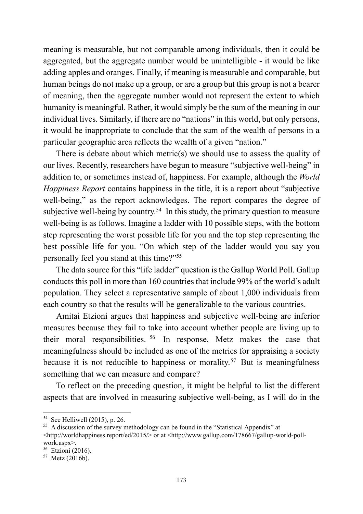meaning is measurable, but not comparable among individuals, then it could be aggregated, but the aggregate number would be unintelligible - it would be like adding apples and oranges. Finally, if meaning is measurable and comparable, but human beings do not make up a group, or are a group but this group is not a bearer of meaning, then the aggregate number would not represent the extent to which humanity is meaningful. Rather, it would simply be the sum of the meaning in our individual lives. Similarly, if there are no "nations" in this world, but only persons, it would be inappropriate to conclude that the sum of the wealth of persons in a particular geographic area reflects the wealth of a given "nation."

There is debate about which metric(s) we should use to assess the quality of our lives. Recently, researchers have begun to measure "subjective well-being" in addition to, or sometimes instead of, happiness. For example, although the *World Happiness Report* contains happiness in the title, it is a report about "subjective well-being," as the report acknowledges. The report compares the degree of subjective well-being by country.<sup>54</sup> In this study, the primary question to measure well-being is as follows. Imagine a ladder with 10 possible steps, with the bottom step representing the worst possible life for you and the top step representing the best possible life for you. "On which step of the ladder would you say you personally feel you stand at this time?"55

The data source for this "life ladder" question is the Gallup World Poll. Gallup conducts this poll in more than 160 countries that include 99% of the world's adult population. They select a representative sample of about 1,000 individuals from each country so that the results will be generalizable to the various countries.

Amitai Etzioni argues that happiness and subjective well-being are inferior measures because they fail to take into account whether people are living up to their moral responsibilities. 56 In response, Metz makes the case that meaningfulness should be included as one of the metrics for appraising a society because it is not reducible to happiness or morality.<sup>57</sup> But is meaningfulness something that we can measure and compare?

To reflect on the preceding question, it might be helpful to list the different aspects that are involved in measuring subjective well-being, as I will do in the

<sup>54</sup> See Helliwell (2015), p. 26.

<sup>&</sup>lt;sup>55</sup> A discussion of the survey methodology can be found in the "Statistical Appendix" at

<sup>&</sup>lt;http://worldhappiness.report/ed/2015/> or at <http://www.gallup.com/178667/gallup-world-pollwork.aspx>.

 $56$  Etzioni (2016).

 $57$  Metz (2016b).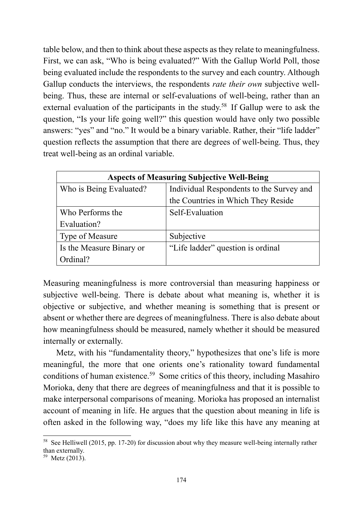table below, and then to think about these aspects as they relate to meaningfulness. First, we can ask, "Who is being evaluated?" With the Gallup World Poll, those being evaluated include the respondents to the survey and each country. Although Gallup conducts the interviews, the respondents *rate their own* subjective wellbeing. Thus, these are internal or self-evaluations of well-being, rather than an external evaluation of the participants in the study.<sup>58</sup> If Gallup were to ask the question, "Is your life going well?" this question would have only two possible answers: "yes" and "no." It would be a binary variable. Rather, their "life ladder" question reflects the assumption that there are degrees of well-being. Thus, they treat well-being as an ordinal variable.

| <b>Aspects of Measuring Subjective Well-Being</b> |                                          |
|---------------------------------------------------|------------------------------------------|
| Who is Being Evaluated?                           | Individual Respondents to the Survey and |
|                                                   | the Countries in Which They Reside       |
| Who Performs the                                  | Self-Evaluation                          |
| Evaluation?                                       |                                          |
| <b>Type of Measure</b>                            | Subjective                               |
| Is the Measure Binary or                          | "Life ladder" question is ordinal        |
| Ordinal?                                          |                                          |

Measuring meaningfulness is more controversial than measuring happiness or subjective well-being. There is debate about what meaning is, whether it is objective or subjective, and whether meaning is something that is present or absent or whether there are degrees of meaningfulness. There is also debate about how meaningfulness should be measured, namely whether it should be measured internally or externally.

Metz, with his "fundamentality theory," hypothesizes that one's life is more meaningful, the more that one orients one's rationality toward fundamental conditions of human existence.<sup>59</sup> Some critics of this theory, including Masahiro Morioka, deny that there are degrees of meaningfulness and that it is possible to make interpersonal comparisons of meaning. Morioka has proposed an internalist account of meaning in life. He argues that the question about meaning in life is often asked in the following way, "does my life like this have any meaning at

<sup>&</sup>lt;sup>58</sup> See Helliwell (2015, pp. 17-20) for discussion about why they measure well-being internally rather than externally.

 $59$  Metz (2013).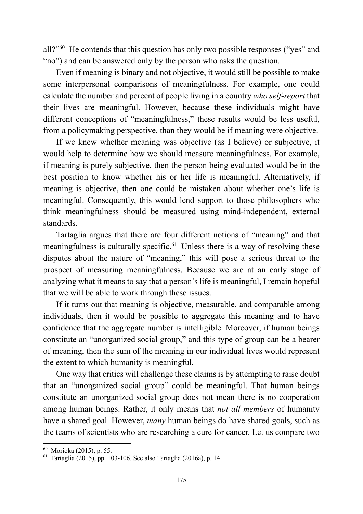all?"60 He contends that this question has only two possible responses ("yes" and "no") and can be answered only by the person who asks the question.

Even if meaning is binary and not objective, it would still be possible to make some interpersonal comparisons of meaningfulness. For example, one could calculate the number and percent of people living in a country *who self-report* that their lives are meaningful. However, because these individuals might have different conceptions of "meaningfulness," these results would be less useful, from a policymaking perspective, than they would be if meaning were objective.

If we knew whether meaning was objective (as I believe) or subjective, it would help to determine how we should measure meaningfulness. For example, if meaning is purely subjective, then the person being evaluated would be in the best position to know whether his or her life is meaningful. Alternatively, if meaning is objective, then one could be mistaken about whether one's life is meaningful. Consequently, this would lend support to those philosophers who think meaningfulness should be measured using mind-independent, external standards.

Tartaglia argues that there are four different notions of "meaning" and that meaningfulness is culturally specific.<sup>61</sup> Unless there is a way of resolving these disputes about the nature of "meaning," this will pose a serious threat to the prospect of measuring meaningfulness. Because we are at an early stage of analyzing what it means to say that a person's life is meaningful, I remain hopeful that we will be able to work through these issues.

If it turns out that meaning is objective, measurable, and comparable among individuals, then it would be possible to aggregate this meaning and to have confidence that the aggregate number is intelligible. Moreover, if human beings constitute an "unorganized social group," and this type of group can be a bearer of meaning, then the sum of the meaning in our individual lives would represent the extent to which humanity is meaningful.

One way that critics will challenge these claims is by attempting to raise doubt that an "unorganized social group" could be meaningful. That human beings constitute an unorganized social group does not mean there is no cooperation among human beings. Rather, it only means that *not all members* of humanity have a shared goal. However, *many* human beings do have shared goals, such as the teams of scientists who are researching a cure for cancer. Let us compare two

<sup>60</sup> Morioka (2015), p. 55.

 $61$  Tartaglia (2015), pp. 103-106. See also Tartaglia (2016a), p. 14.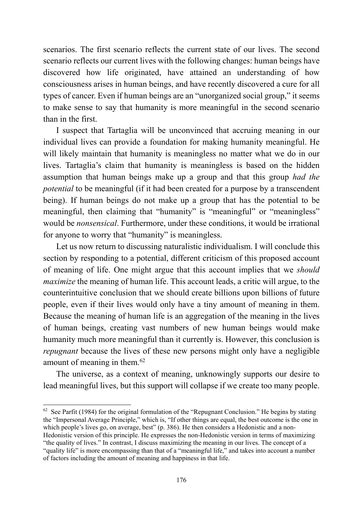scenarios. The first scenario reflects the current state of our lives. The second scenario reflects our current lives with the following changes: human beings have discovered how life originated, have attained an understanding of how consciousness arises in human beings, and have recently discovered a cure for all types of cancer. Even if human beings are an "unorganized social group," it seems to make sense to say that humanity is more meaningful in the second scenario than in the first.

I suspect that Tartaglia will be unconvinced that accruing meaning in our individual lives can provide a foundation for making humanity meaningful. He will likely maintain that humanity is meaningless no matter what we do in our lives. Tartaglia's claim that humanity is meaningless is based on the hidden assumption that human beings make up a group and that this group *had the potential* to be meaningful (if it had been created for a purpose by a transcendent being). If human beings do not make up a group that has the potential to be meaningful, then claiming that "humanity" is "meaningful" or "meaningless" would be *nonsensical*. Furthermore, under these conditions, it would be irrational for anyone to worry that "humanity" is meaningless.

Let us now return to discussing naturalistic individualism. I will conclude this section by responding to a potential, different criticism of this proposed account of meaning of life. One might argue that this account implies that we *should maximize* the meaning of human life. This account leads, a critic will argue, to the counterintuitive conclusion that we should create billions upon billions of future people, even if their lives would only have a tiny amount of meaning in them. Because the meaning of human life is an aggregation of the meaning in the lives of human beings, creating vast numbers of new human beings would make humanity much more meaningful than it currently is. However, this conclusion is *repugnant* because the lives of these new persons might only have a negligible amount of meaning in them.62

The universe, as a context of meaning, unknowingly supports our desire to lead meaningful lives, but this support will collapse if we create too many people.

<sup>1</sup>  $62$  See Parfit (1984) for the original formulation of the "Repugnant Conclusion." He begins by stating the "Impersonal Average Principle," which is, "If other things are equal, the best outcome is the one in which people's lives go, on average, best" (p. 386). He then considers a Hedonistic and a non-Hedonistic version of this principle. He expresses the non-Hedonistic version in terms of maximizing "the quality of lives." In contrast, I discuss maximizing the meaning in our lives. The concept of a "quality life" is more encompassing than that of a "meaningful life," and takes into account a number of factors including the amount of meaning and happiness in that life.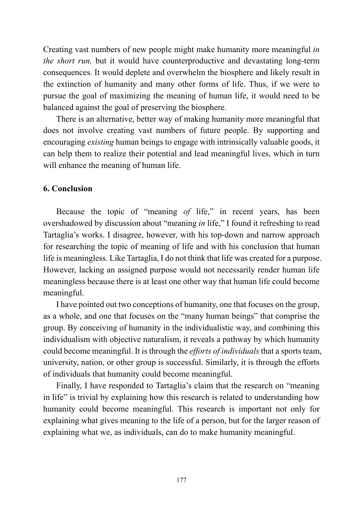Creating vast numbers of new people might make humanity more meaningful *in the short run,* but it would have counterproductive and devastating long-term consequences. It would deplete and overwhelm the biosphere and likely result in the extinction of humanity and many other forms of life. Thus, if we were to pursue the goal of maximizing the meaning of human life, it would need to be balanced against the goal of preserving the biosphere.

There is an alternative, better way of making humanity more meaningful that does not involve creating vast numbers of future people. By supporting and encouraging *existing* human beings to engage with intrinsically valuable goods, it can help them to realize their potential and lead meaningful lives, which in turn will enhance the meaning of human life.

### **6. Conclusion**

Because the topic of "meaning *of* life," in recent years, has been overshadowed by discussion about "meaning *in* life," I found it refreshing to read Tartaglia's works. I disagree, however, with his top-down and narrow approach for researching the topic of meaning of life and with his conclusion that human life is meaningless. Like Tartaglia, I do not think that life was created for a purpose. However, lacking an assigned purpose would not necessarily render human life meaningless because there is at least one other way that human life could become meaningful.

I have pointed out two conceptions of humanity, one that focuses on the group, as a whole, and one that focuses on the "many human beings" that comprise the group. By conceiving of humanity in the individualistic way, and combining this individualism with objective naturalism, it reveals a pathway by which humanity could become meaningful. It is through the *efforts of individuals* that a sports team, university, nation, or other group is successful. Similarly, it is through the efforts of individuals that humanity could become meaningful.

Finally, I have responded to Tartaglia's claim that the research on "meaning in life" is trivial by explaining how this research is related to understanding how humanity could become meaningful. This research is important not only for explaining what gives meaning to the life of a person, but for the larger reason of explaining what we, as individuals, can do to make humanity meaningful.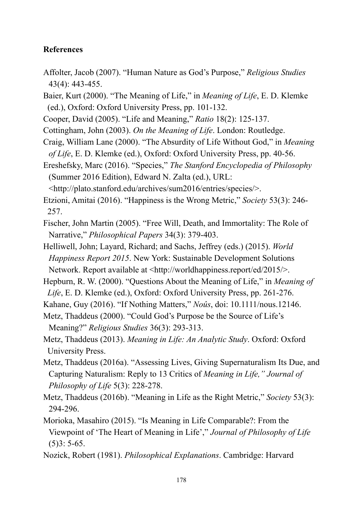### **References**

- Affolter, Jacob (2007). "Human Nature as God's Purpose," *Religious Studies* 43(4): 443-455.
- Baier, Kurt (2000). "The Meaning of Life," in *Meaning of Life*, E. D. Klemke (ed.), Oxford: Oxford University Press, pp. 101-132.
- Cooper, David (2005). "Life and Meaning," *Ratio* 18(2): 125-137.
- Cottingham, John (2003). *On the Meaning of Life*. London: Routledge.
- Craig, William Lane (2000). "The Absurdity of Life Without God," in *Meaning of Life*, E. D. Klemke (ed.), Oxford: Oxford University Press, pp. 40-56.
- Ereshefsky, Marc (2016). "Species," *The Stanford Encyclopedia of Philosophy* (Summer 2016 Edition), Edward N. Zalta (ed.), URL:

<http://plato.stanford.edu/archives/sum2016/entries/species/>.

- Etzioni, Amitai (2016). "Happiness is the Wrong Metric," *Society* 53(3): 246- 257.
- Fischer, John Martin (2005). "Free Will, Death, and Immortality: The Role of Narrative," *Philosophical Papers* 34(3): 379-403.
- Helliwell, John; Layard, Richard; and Sachs, Jeffrey (eds.) (2015). *World Happiness Report 2015*. New York: Sustainable Development Solutions Network. Report available at <http://worldhappiness.report/ed/2015/>.
- Hepburn, R. W. (2000). "Questions About the Meaning of Life," in *Meaning of Life*, E. D. Klemke (ed.), Oxford: Oxford University Press, pp. 261-276.
- Kahane, Guy (2016). "If Nothing Matters," *Noûs*, doi: 10.1111/nous.12146.
- Metz, Thaddeus (2000). "Could God's Purpose be the Source of Life's Meaning?" *Religious Studies* 36(3): 293-313.
- Metz, Thaddeus (2013). *Meaning in Life: An Analytic Study*. Oxford: Oxford University Press.
- Metz, Thaddeus (2016a). "Assessing Lives, Giving Supernaturalism Its Due, and Capturing Naturalism: Reply to 13 Critics of *Meaning in Life," Journal of Philosophy of Life* 5(3): 228-278.
- Metz, Thaddeus (2016b). "Meaning in Life as the Right Metric," *Society* 53(3): 294-296.
- Morioka, Masahiro (2015). "Is Meaning in Life Comparable?: From the Viewpoint of 'The Heart of Meaning in Life'," *Journal of Philosophy of Life*  $(5)3: 5-65.$
- Nozick, Robert (1981). *Philosophical Explanations*. Cambridge: Harvard